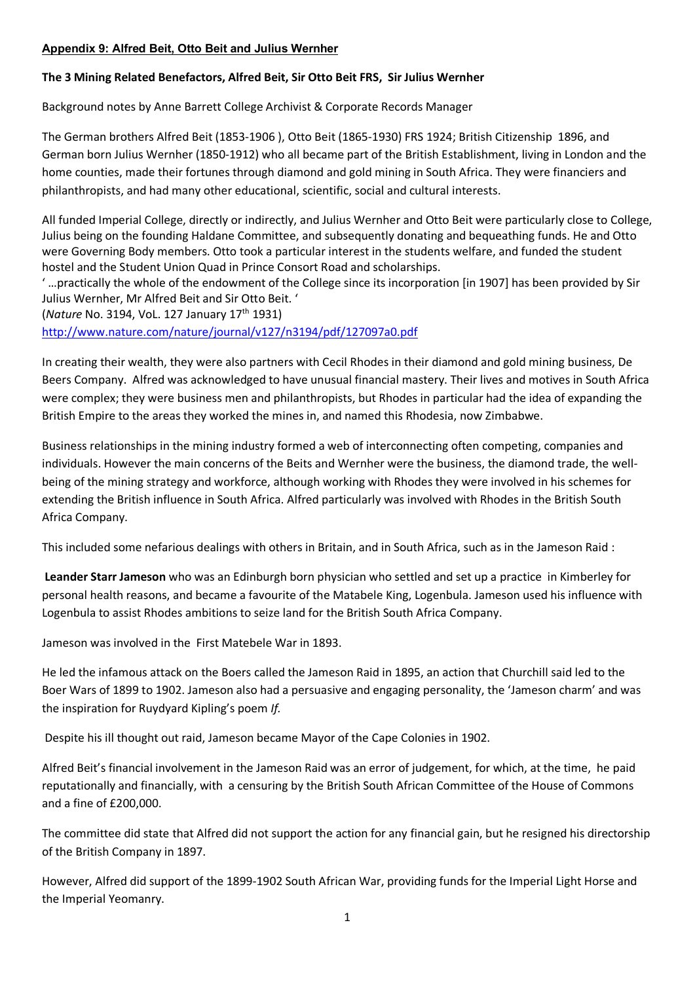#### **Appendix 9: Alfred Beit, Otto Beit and Julius Wernher**

# **The 3 Mining Related Benefactors, Alfred Beit, Sir Otto Beit FRS, Sir Julius Wernher**

Background notes by Anne Barrett College Archivist & Corporate Records Manager

The German brothers Alfred Beit (1853-1906 ), Otto Beit (1865-1930) FRS 1924; British Citizenship 1896, and German born Julius Wernher (1850-1912) who all became part of the British Establishment, living in London and the home counties, made their fortunes through diamond and gold mining in South Africa. They were financiers and philanthropists, and had many other educational, scientific, social and cultural interests.

All funded Imperial College, directly or indirectly, and Julius Wernher and Otto Beit were particularly close to College, Julius being on the founding Haldane Committee, and subsequently donating and bequeathing funds. He and Otto were Governing Body members. Otto took a particular interest in the students welfare, and funded the student hostel and the Student Union Quad in Prince Consort Road and scholarships.

' …practically the whole of the endowment of the College since its incorporation [in 1907] has been provided by Sir Julius Wernher, Mr Alfred Beit and Sir Otto Beit. '

(*Nature* No. 3194, VoL. 127 January 17th 1931)

<http://www.nature.com/nature/journal/v127/n3194/pdf/127097a0.pdf>

In creating their wealth, they were also partners with Cecil Rhodes in their diamond and gold mining business, De Beers Company. Alfred was acknowledged to have unusual financial mastery. Their lives and motives in South Africa were complex; they were business men and philanthropists, but Rhodes in particular had the idea of expanding the British Empire to the areas they worked the mines in, and named this Rhodesia, now Zimbabwe.

Business relationships in the mining industry formed a web of interconnecting often competing, companies and individuals. However the main concerns of the Beits and Wernher were the business, the diamond trade, the wellbeing of the mining strategy and workforce, although working with Rhodes they were involved in his schemes for extending the British influence in South Africa. Alfred particularly was involved with Rhodes in the British South Africa Company.

This included some nefarious dealings with others in Britain, and in South Africa, such as in the Jameson Raid :

**Leander Starr Jameson** who was an Edinburgh born physician who settled and set up a practice in Kimberley for personal health reasons, and became a favourite of the Matabele King, Logenbula. Jameson used his influence with Logenbula to assist Rhodes ambitions to seize land for the British South Africa Company.

Jameson was involved in the First Matebele War in 1893.

He led the infamous attack on the Boers called the Jameson Raid in 1895, an action that Churchill said led to the Boer Wars of 1899 to 1902. Jameson also had a persuasive and engaging personality, the 'Jameson charm' and was the inspiration for Ruydyard Kipling's poem *If.*

Despite his ill thought out raid, Jameson became Mayor of the Cape Colonies in 1902.

Alfred Beit's financial involvement in the Jameson Raid was an error of judgement, for which, at the time, he paid reputationally and financially, with a censuring by the British South African Committee of the House of Commons and a fine of £200,000.

The committee did state that Alfred did not support the action for any financial gain, but he resigned his directorship of the British Company in 1897.

However, Alfred did support of the 1899-1902 South African War, providing funds for the Imperial Light Horse and the Imperial Yeomanry.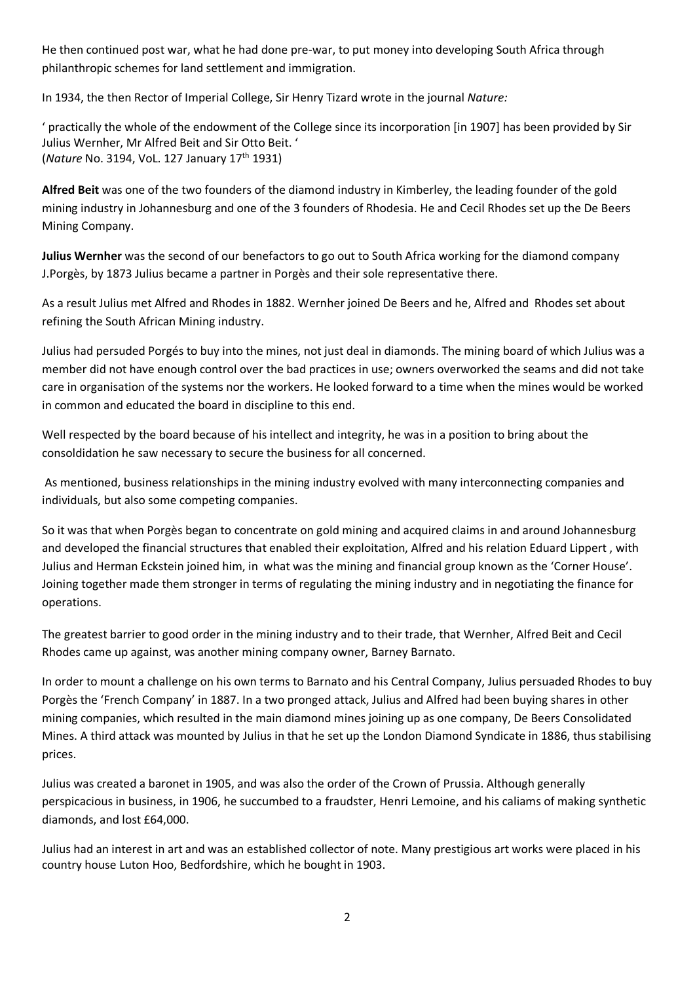He then continued post war, what he had done pre-war, to put money into developing South Africa through philanthropic schemes for land settlement and immigration.

In 1934, the then Rector of Imperial College, Sir Henry Tizard wrote in the journal *Nature:*

' practically the whole of the endowment of the College since its incorporation [in 1907] has been provided by Sir Julius Wernher, Mr Alfred Beit and Sir Otto Beit. ' (*Nature* No. 3194, VoL. 127 January 17th 1931)

**Alfred Beit** was one of the two founders of the diamond industry in Kimberley, the leading founder of the gold mining industry in Johannesburg and one of the 3 founders of Rhodesia. He and Cecil Rhodes set up the De Beers Mining Company.

**Julius Wernher** was the second of our benefactors to go out to South Africa working for the diamond company J.Porgès, by 1873 Julius became a partner in Porgès and their sole representative there.

As a result Julius met Alfred and Rhodes in 1882. Wernher joined De Beers and he, Alfred and Rhodes set about refining the South African Mining industry.

Julius had persuded Porgés to buy into the mines, not just deal in diamonds. The mining board of which Julius was a member did not have enough control over the bad practices in use; owners overworked the seams and did not take care in organisation of the systems nor the workers. He looked forward to a time when the mines would be worked in common and educated the board in discipline to this end.

Well respected by the board because of his intellect and integrity, he was in a position to bring about the consoldidation he saw necessary to secure the business for all concerned.

As mentioned, business relationships in the mining industry evolved with many interconnecting companies and individuals, but also some competing companies.

So it was that when Porgès began to concentrate on gold mining and acquired claims in and around Johannesburg and developed the financial structures that enabled their exploitation, Alfred and his relation Eduard Lippert , with Julius and Herman Eckstein joined him, in what was the mining and financial group known as the 'Corner House'. Joining together made them stronger in terms of regulating the mining industry and in negotiating the finance for operations.

The greatest barrier to good order in the mining industry and to their trade, that Wernher, Alfred Beit and Cecil Rhodes came up against, was another mining company owner, Barney Barnato.

In order to mount a challenge on his own terms to Barnato and his Central Company, Julius persuaded Rhodes to buy Porgès the 'French Company' in 1887. In a two pronged attack, Julius and Alfred had been buying shares in other mining companies, which resulted in the main diamond mines joining up as one company, De Beers Consolidated Mines. A third attack was mounted by Julius in that he set up the London Diamond Syndicate in 1886, thus stabilising prices.

Julius was created a baronet in 1905, and was also the order of the Crown of Prussia. Although generally perspicacious in business, in 1906, he succumbed to a fraudster, Henri Lemoine, and his caliams of making synthetic diamonds, and lost £64,000.

Julius had an interest in art and was an established collector of note. Many prestigious art works were placed in his country house Luton Hoo, Bedfordshire, which he bought in 1903.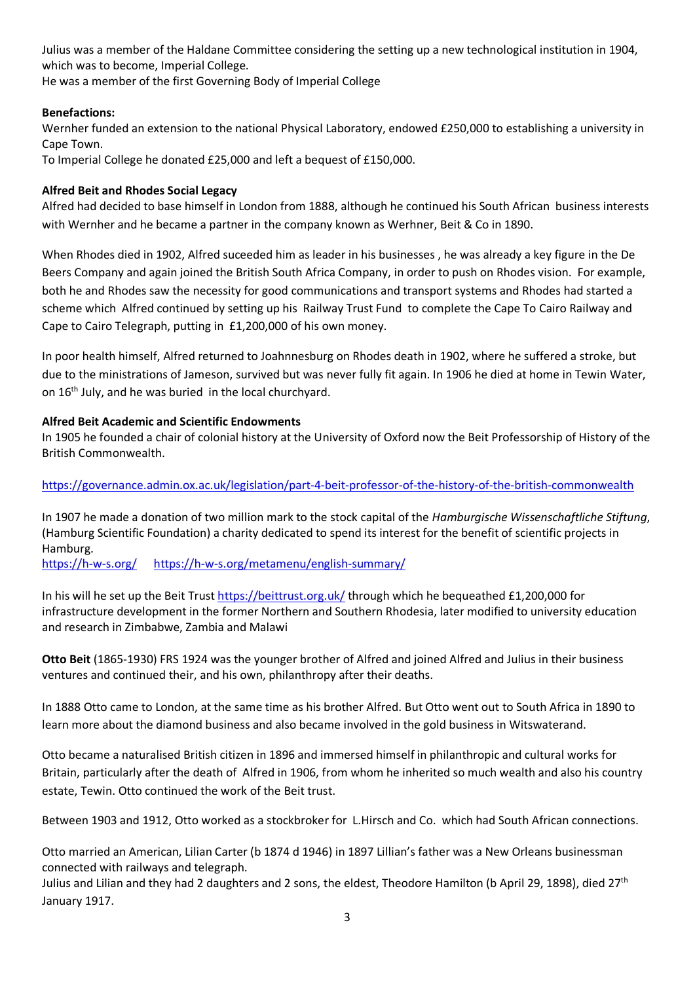Julius was a member of the Haldane Committee considering the setting up a new technological institution in 1904, which was to become, Imperial College.

He was a member of the first Governing Body of Imperial College

### **Benefactions:**

Wernher funded an extension to the national Physical Laboratory, endowed £250,000 to establishing a university in Cape Town.

To Imperial College he donated £25,000 and left a bequest of £150,000.

### **Alfred Beit and Rhodes Social Legacy**

Alfred had decided to base himself in London from 1888, although he continued his South African business interests with Wernher and he became a partner in the company known as Werhner, Beit & Co in 1890.

When Rhodes died in 1902, Alfred suceeded him as leader in his businesses , he was already a key figure in the De Beers Company and again joined the British South Africa Company, in order to push on Rhodes vision. For example, both he and Rhodes saw the necessity for good communications and transport systems and Rhodes had started a scheme which Alfred continued by setting up his Railway Trust Fund to complete the Cape To Cairo Railway and Cape to Cairo Telegraph, putting in £1,200,000 of his own money.

In poor health himself, Alfred returned to Joahnnesburg on Rhodes death in 1902, where he suffered a stroke, but due to the ministrations of Jameson, survived but was never fully fit again. In 1906 he died at home in Tewin Water, on 16th July, and he was buried in the local churchyard.

### **Alfred Beit Academic and Scientific Endowments**

In 1905 he founded a chair of colonial history at the University of Oxford now the Beit Professorship of History of the British Commonwealth.

# <https://governance.admin.ox.ac.uk/legislation/part-4-beit-professor-of-the-history-of-the-british-commonwealth>

In 1907 he made a donation of two million mark to the stock capital of the *Hamburgische Wissenschaftliche Stiftung*, (Hamburg Scientific Foundation) a charity dedicated to spend its interest for the benefit of scientific projects in Hamburg.

<https://h-w-s.org/><https://h-w-s.org/metamenu/english-summary/>

In his will he set up the Beit Trust<https://beittrust.org.uk/> through which he bequeathed £1,200,000 for infrastructure development in the former Northern and Southern Rhodesia, later modified to university education and research in Zimbabwe, Zambia and Malawi

**Otto Beit** (1865-1930) FRS 1924 was the younger brother of Alfred and joined Alfred and Julius in their business ventures and continued their, and his own, philanthropy after their deaths.

In 1888 Otto came to London, at the same time as his brother Alfred. But Otto went out to South Africa in 1890 to learn more about the diamond business and also became involved in the gold business in Witswaterand.

Otto became a naturalised British citizen in 1896 and immersed himself in philanthropic and cultural works for Britain, particularly after the death of Alfred in 1906, from whom he inherited so much wealth and also his country estate, Tewin. Otto continued the work of the Beit trust.

Between 1903 and 1912, Otto worked as a stockbroker for L.Hirsch and Co. which had South African connections.

Otto married an American, Lilian Carter (b 1874 d 1946) in 1897 Lillian's father was a New Orleans businessman connected with railways and telegraph.

Julius and Lilian and they had 2 daughters and 2 sons, the eldest, Theodore Hamilton (b April 29, 1898), died  $27<sup>th</sup>$ January 1917.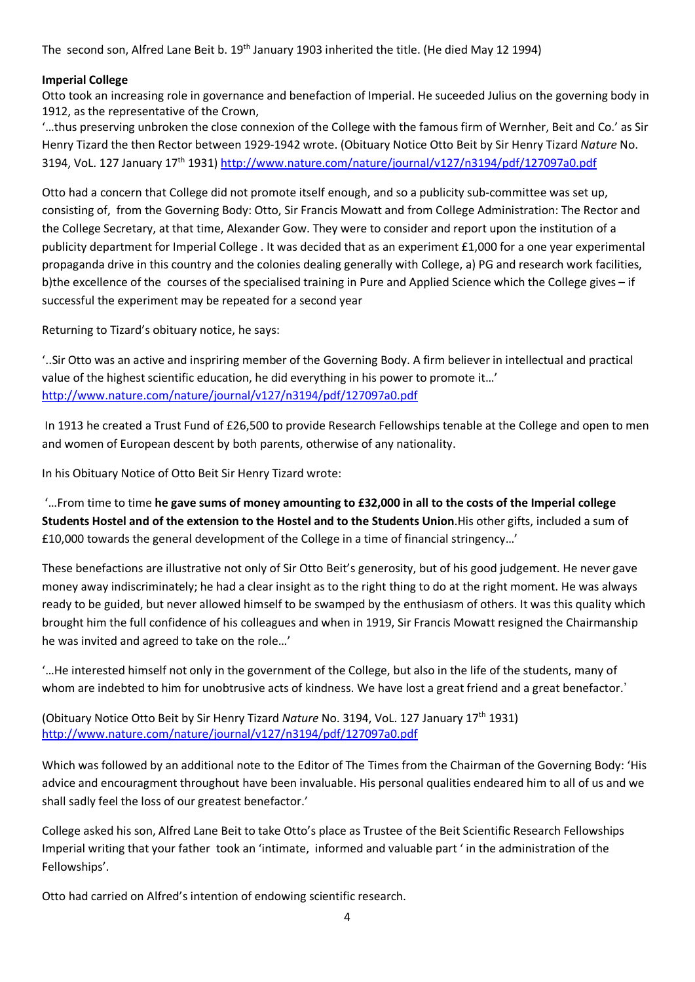The second son, Alfred Lane Beit b. 19<sup>th</sup> January 1903 inherited the title. (He died May 12 1994)

### **Imperial College**

Otto took an increasing role in governance and benefaction of Imperial. He suceeded Julius on the governing body in 1912, as the representative of the Crown,

'…thus preserving unbroken the close connexion of the College with the famous firm of Wernher, Beit and Co.' as Sir Henry Tizard the then Rector between 1929-1942 wrote. (Obituary Notice Otto Beit by Sir Henry Tizard *Nature* No. 3194, VoL. 127 January 17th 1931)<http://www.nature.com/nature/journal/v127/n3194/pdf/127097a0.pdf>

Otto had a concern that College did not promote itself enough, and so a publicity sub-committee was set up, consisting of, from the Governing Body: Otto, Sir Francis Mowatt and from College Administration: The Rector and the College Secretary, at that time, Alexander Gow. They were to consider and report upon the institution of a publicity department for Imperial College . It was decided that as an experiment £1,000 for a one year experimental propaganda drive in this country and the colonies dealing generally with College, a) PG and research work facilities, b)the excellence of the courses of the specialised training in Pure and Applied Science which the College gives – if successful the experiment may be repeated for a second year

Returning to Tizard's obituary notice, he says:

'..Sir Otto was an active and inspriring member of the Governing Body. A firm believer in intellectual and practical value of the highest scientific education, he did everything in his power to promote it…' <http://www.nature.com/nature/journal/v127/n3194/pdf/127097a0.pdf>

In 1913 he created a Trust Fund of £26,500 to provide Research Fellowships tenable at the College and open to men and women of European descent by both parents, otherwise of any nationality.

In his Obituary Notice of Otto Beit Sir Henry Tizard wrote:

'…From time to time **he gave sums of money amounting to £32,000 in all to the costs of the Imperial college Students Hostel and of the extension to the Hostel and to the Students Union**.His other gifts, included a sum of £10,000 towards the general development of the College in a time of financial stringency…'

These benefactions are illustrative not only of Sir Otto Beit's generosity, but of his good judgement. He never gave money away indiscriminately; he had a clear insight as to the right thing to do at the right moment. He was always ready to be guided, but never allowed himself to be swamped by the enthusiasm of others. It was this quality which brought him the full confidence of his colleagues and when in 1919, Sir Francis Mowatt resigned the Chairmanship he was invited and agreed to take on the role…'

'…He interested himself not only in the government of the College, but also in the life of the students, many of whom are indebted to him for unobtrusive acts of kindness. We have lost a great friend and a great benefactor.'

(Obituary Notice Otto Beit by Sir Henry Tizard *Nature* No. 3194, VoL. 127 January 17th 1931) <http://www.nature.com/nature/journal/v127/n3194/pdf/127097a0.pdf>

Which was followed by an additional note to the Editor of The Times from the Chairman of the Governing Body: 'His advice and encouragment throughout have been invaluable. His personal qualities endeared him to all of us and we shall sadly feel the loss of our greatest benefactor.'

College asked his son, Alfred Lane Beit to take Otto's place as Trustee of the Beit Scientific Research Fellowships Imperial writing that your father took an 'intimate, informed and valuable part ' in the administration of the Fellowships'.

Otto had carried on Alfred's intention of endowing scientific research.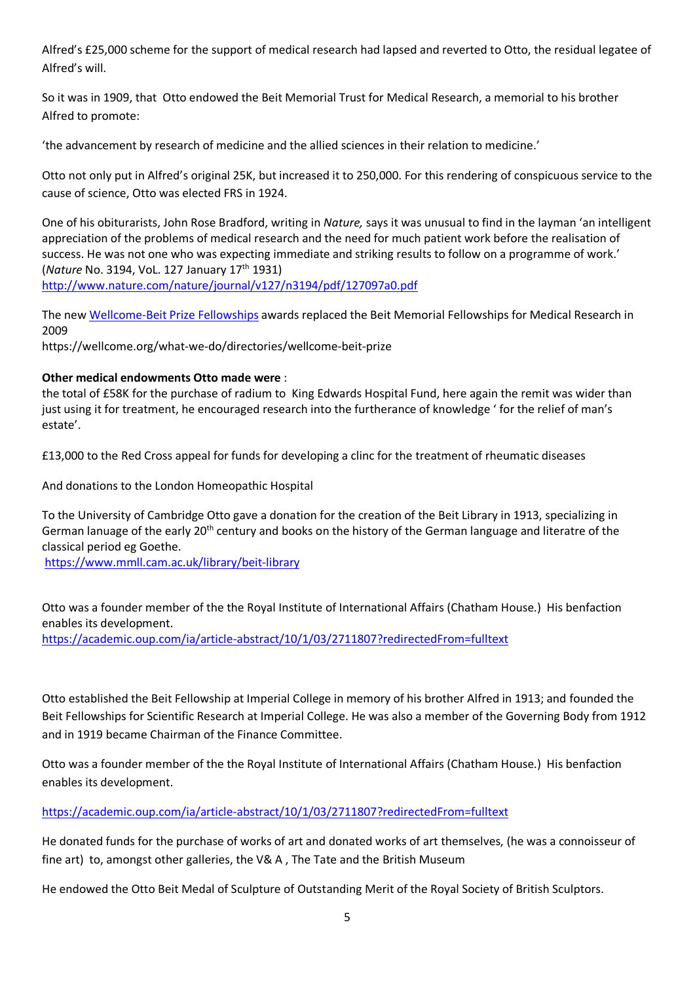Alfred's £25,000 scheme for the support of medical research had lapsed and reverted to Otto, the residual legatee of Alfred's will.

So it was in 1909, that Otto endowed the Beit Memorial Trust for Medical Research, a memorial to his brother Alfred to promote:

'the advancement by research of medicine and the allied sciences in their relation to medicine.'

Otto not only put in Alfred's original 25K, but increased it to 250,000. For this rendering of conspicuous service to the cause of science, Otto was elected FRS in 1924.

One of his obiturarists, John Rose Bradford, writing in *Nature,* says it was unusual to find in the layman 'an intelligent appreciation of the problems of medical research and the need for much patient work before the realisation of success. He was not one who was expecting immediate and striking results to follow on a programme of work.' (*Nature* No. 3194, VoL. 127 January 17th 1931)

<http://www.nature.com/nature/journal/v127/n3194/pdf/127097a0.pdf>

The ne[w Wellcome-Beit Prize Fellowships](http://www.wellcome.ac.uk/Funding/Biomedical-science/Funding-schemes/Strategic-awards-and-initiatives/WTX055419.htm) awards replaced the Beit Memorial Fellowships for Medical Research in 2009

https://wellcome.org/what-we-do/directories/wellcome-beit-prize

### **Other medical endowments Otto made were** :

the total of £58K for the purchase of radium to King Edwards Hospital Fund, here again the remit was wider than just using it for treatment, he encouraged research into the furtherance of knowledge ' for the relief of man's estate'.

£13,000 to the Red Cross appeal for funds for developing a clinc for the treatment of rheumatic diseases

And donations to the London Homeopathic Hospital

To the University of Cambridge Otto gave a donation for the creation of the Beit Library in 1913, specializing in German lanuage of the early 20<sup>th</sup> century and books on the history of the German language and literatre of the classical period eg Goethe.

<https://www.mmll.cam.ac.uk/library/beit-library>

Otto was a founder member of the the Royal Institute of International Affairs (Chatham House.) His benfaction enables its development.

<https://academic.oup.com/ia/article-abstract/10/1/03/2711807?redirectedFrom=fulltext>

Otto established the Beit Fellowship at Imperial College in memory of his brother Alfred in 1913; and founded the Beit Fellowships for Scientific Research at Imperial College. He was also a member of the Governing Body from 1912 and in 1919 became Chairman of the Finance Committee.

Otto was a founder member of the the Royal Institute of International Affairs (Chatham House.) His benfaction enables its development.

<https://academic.oup.com/ia/article-abstract/10/1/03/2711807?redirectedFrom=fulltext>

He donated funds for the purchase of works of art and donated works of art themselves, (he was a connoisseur of fine art) to, amongst other galleries, the V& A , The Tate and the British Museum

He endowed the Otto Beit Medal of Sculpture of Outstanding Merit of the Royal Society of British Sculptors.